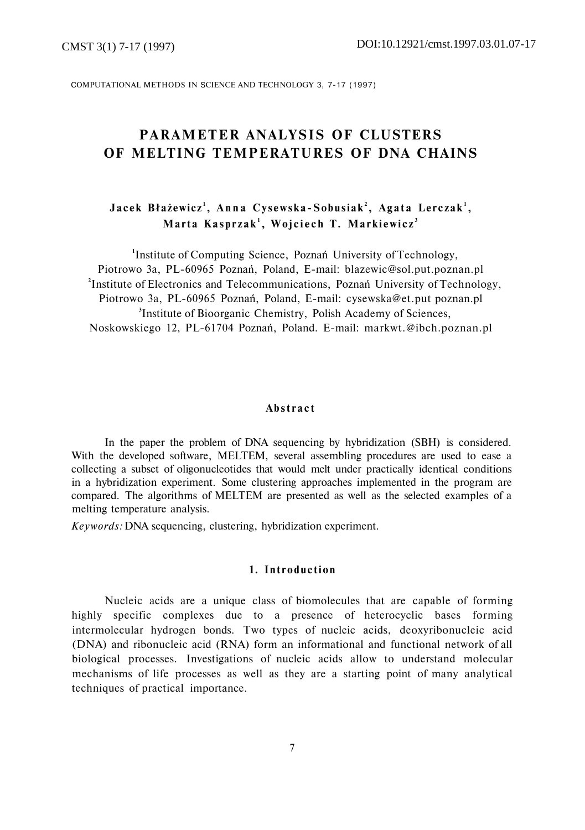COMPUTATIONAL METHODS IN SCIENCE AND TECHNOLOGY 3, 7-17 (1997)

# **PARAMETER ANALYSIS OF CLUSTERS OF MELTING TEMPERATURES OF DNA CHAINS**

## $Jacek$   $Błażewicz<sup>1</sup>, Anna Cysewska-Sobusiak<sup>2</sup>, Agata Lerczak<sup>1</sup>,$ **Marta Kasprzak <sup>1</sup> , Wojciec h T. Markiewicz <sup>3</sup>**

**1** Institute of Computing Science, Poznań University of Technology, Piotrowo 3a, PL-60965 Poznań, Poland, E-mail: [blazewic@sol.put.poznan.pl](mailto:blazewic@sol.put.poznan.pl) **2** Institute of Electronics and Telecommunications, Poznań University of Technology, Piotrowo 3a, PL-60965 Poznań, Poland, E-mail: [cysewska@et.put](mailto:cysewska@et.put) poznan.pl **3** Institute of Bioorganic Chemistry, Polish Academy of Sciences, Noskowskiego 12, PL-61704 Poznań, Poland. E-mail: markwt.@ibch.poznan.pl

### **Abstrac t**

In the paper the problem of DNA sequencing by hybridization (SBH) is considered. With the developed software, MELTEM, several assembling procedures are used to ease a collecting a subset of oligonucleotides that would melt under practically identical conditions in a hybridization experiment. Some clustering approaches implemented in the program are compared. The algorithms of MELTEM are presented as well as the selected examples of a melting temperature analysis.

*Keywords:* DNA sequencing, clustering, hybridization experiment.

### **1. Introduction**

Nucleic acids are a unique class of biomolecules that are capable of forming highly specific complexes due to a presence of heterocyclic bases forming intermolecular hydrogen bonds. Two types of nucleic acids, deoxyribonucleic acid (DNA) and ribonucleic acid (RNA) form an informational and functional network of all biological processes. Investigations of nucleic acids allow to understand molecular mechanisms of life processes as well as they are a starting point of many analytical techniques of practical importance.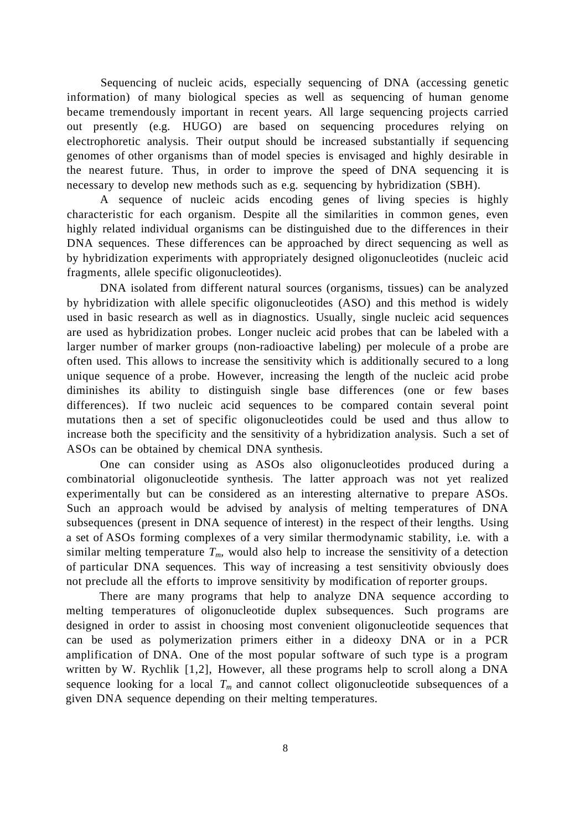Sequencing of nucleic acids, especially sequencing of DNA (accessing genetic information) of many biological species as well as sequencing of human genome became tremendously important in recent years. All large sequencing projects carried out presently (e.g. HUGO) are based on sequencing procedures relying on electrophoretic analysis. Their output should be increased substantially if sequencing genomes of other organisms than of model species is envisaged and highly desirable in the nearest future. Thus, in order to improve the speed of DNA sequencing it is necessary to develop new methods such as e.g. sequencing by hybridization (SBH).

A sequence of nucleic acids encoding genes of living species is highly characteristic for each organism. Despite all the similarities in common genes, even highly related individual organisms can be distinguished due to the differences in their DNA sequences. These differences can be approached by direct sequencing as well as by hybridization experiments with appropriately designed oligonucleotides (nucleic acid fragments, allele specific oligonucleotides).

DNA isolated from different natural sources (organisms, tissues) can be analyzed by hybridization with allele specific oligonucleotides (ASO) and this method is widely used in basic research as well as in diagnostics. Usually, single nucleic acid sequences are used as hybridization probes. Longer nucleic acid probes that can be labeled with a larger number of marker groups (non-radioactive labeling) per molecule of a probe are often used. This allows to increase the sensitivity which is additionally secured to a long unique sequence of a probe. However, increasing the length of the nucleic acid probe diminishes its ability to distinguish single base differences (one or few bases differences). If two nucleic acid sequences to be compared contain several point mutations then a set of specific oligonucleotides could be used and thus allow to increase both the specificity and the sensitivity of a hybridization analysis. Such a set of ASOs can be obtained by chemical DNA synthesis.

One can consider using as ASOs also oligonucleotides produced during a combinatorial oligonucleotide synthesis. The latter approach was not yet realized experimentally but can be considered as an interesting alternative to prepare ASOs. Such an approach would be advised by analysis of melting temperatures of DNA subsequences (present in DNA sequence of interest) in the respect of their lengths. Using a set of ASOs forming complexes of a very similar thermodynamic stability, i.e. with a similar melting temperature  $T_m$ , would also help to increase the sensitivity of a detection of particular DNA sequences. This way of increasing a test sensitivity obviously does not preclude all the efforts to improve sensitivity by modification of reporter groups.

There are many programs that help to analyze DNA sequence according to melting temperatures of oligonucleotide duplex subsequences. Such programs are designed in order to assist in choosing most convenient oligonucleotide sequences that can be used as polymerization primers either in a dideoxy DNA or in a PCR amplification of DNA. One of the most popular software of such type is a program written by W. Rychlik [1,2], However, all these programs help to scroll along a DNA sequence looking for a local  $T_m$  and cannot collect oligonucleotide subsequences of a given DNA sequence depending on their melting temperatures.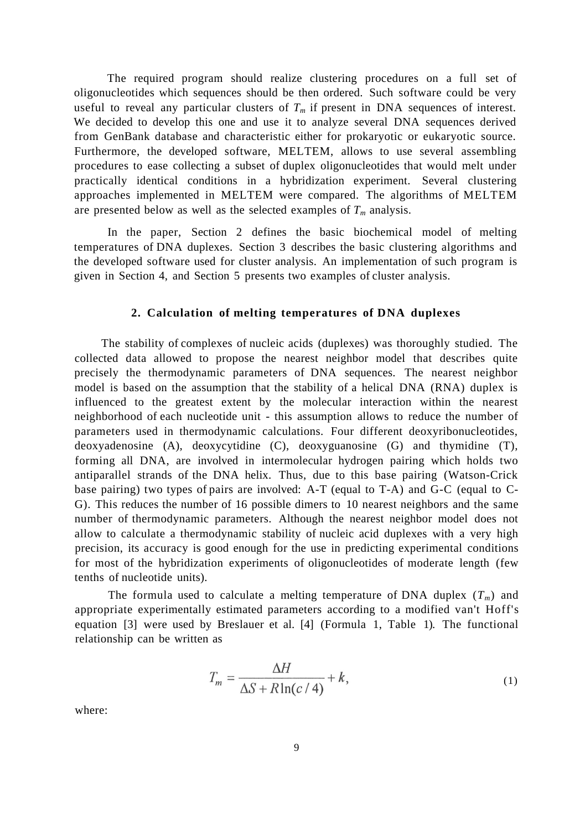The required program should realize clustering procedures on a full set of oligonucleotides which sequences should be then ordered. Such software could be very useful to reveal any particular clusters of  $T_m$  if present in DNA sequences of interest. We decided to develop this one and use it to analyze several DNA sequences derived from GenBank database and characteristic either for prokaryotic or eukaryotic source. Furthermore, the developed software, MELTEM, allows to use several assembling procedures to ease collecting a subset of duplex oligonucleotides that would melt under practically identical conditions in a hybridization experiment. Several clustering approaches implemented in MELTEM were compared. The algorithms of MELTEM are presented below as well as the selected examples of *Tm* analysis.

In the paper, Section 2 defines the basic biochemical model of melting temperatures of DNA duplexes. Section 3 describes the basic clustering algorithms and the developed software used for cluster analysis. An implementation of such program is given in Section 4, and Section 5 presents two examples of cluster analysis.

### **2. Calculation of melting temperatures of DNA duplexes**

The stability of complexes of nucleic acids (duplexes) was thoroughly studied. The collected data allowed to propose the nearest neighbor model that describes quite precisely the thermodynamic parameters of DNA sequences. The nearest neighbor model is based on the assumption that the stability of a helical DNA (RNA) duplex is influenced to the greatest extent by the molecular interaction within the nearest neighborhood of each nucleotide unit - this assumption allows to reduce the number of parameters used in thermodynamic calculations. Four different deoxyribonucleotides, deoxyadenosine (A), deoxycytidine (C), deoxyguanosine (G) and thymidine (T), forming all DNA, are involved in intermolecular hydrogen pairing which holds two antiparallel strands of the DNA helix. Thus, due to this base pairing (Watson-Crick base pairing) two types of pairs are involved: A-T (equal to T-A) and G-C (equal to C-G). This reduces the number of 16 possible dimers to 10 nearest neighbors and the same number of thermodynamic parameters. Although the nearest neighbor model does not allow to calculate a thermodynamic stability of nucleic acid duplexes with a very high precision, its accuracy is good enough for the use in predicting experimental conditions for most of the hybridization experiments of oligonucleotides of moderate length (few tenths of nucleotide units).

The formula used to calculate a melting temperature of DNA duplex  $(T_m)$  and appropriate experimentally estimated parameters according to a modified van't Hoff's equation [3] were used by Breslauer et al. [4] (Formula 1, Table 1). The functional relationship can be written as

$$
T_m = \frac{\Delta H}{\Delta S + R \ln(c/4)} + k,\tag{1}
$$

where: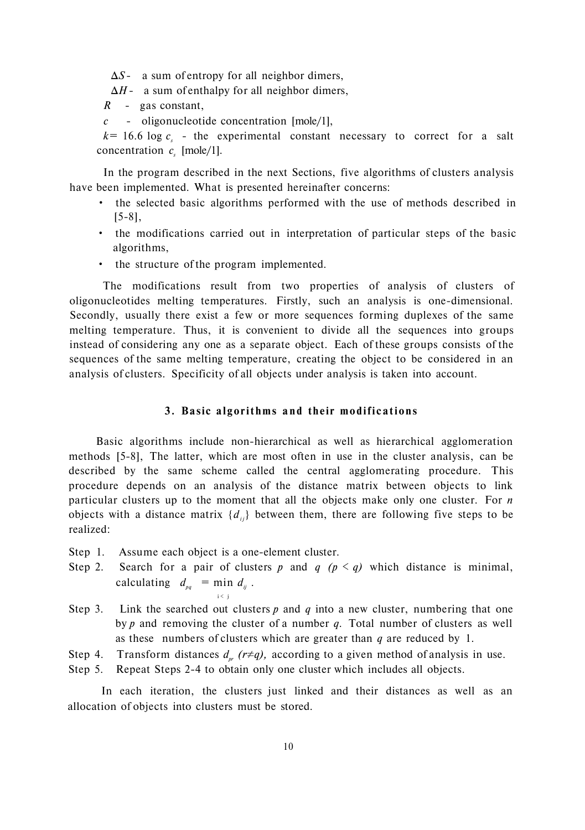- Δ*S* a sum of entropy for all neighbor dimers,
- Δ*H -* a sum of enthalpy for all neighbor dimers,
- *R* gas constant,
- *c -* oligonucleotide concentration [mole/1],

 $k=16.6 \log c$ , - the experimental constant necessary to correct for a salt concentration  $c_s$  [mole/1].

In the program described in the next Sections, five algorithms of clusters analysis have been implemented. What is presented hereinafter concerns:

- the selected basic algorithms performed with the use of methods described in [5-8],
- the modifications carried out in interpretation of particular steps of the basic algorithms,
- the structure of the program implemented.

The modifications result from two properties of analysis of clusters of oligonucleotides melting temperatures. Firstly, such an analysis is one-dimensional. Secondly, usually there exist a few or more sequences forming duplexes of the same melting temperature. Thus, it is convenient to divide all the sequences into groups instead of considering any one as a separate object. Each of these groups consists of the sequences of the same melting temperature, creating the object to be considered in an analysis of clusters. Specificity of all objects under analysis is taken into account.

#### **3. Basic algorithms and their modifications**

Basic algorithms include non-hierarchical as well as hierarchical agglomeration methods [5-8], The latter, which are most often in use in the cluster analysis, can be described by the same scheme called the central agglomerating procedure. This procedure depends on an analysis of the distance matrix between objects to link particular clusters up to the moment that all the objects make only one cluster. For *n*  objects with a distance matrix  ${d_i}$  between them, there are following five steps to be realized:

Step 1. Assume each object is a one-element cluster.

i < j

- Step 2. Search for a pair of clusters p and  $q$  ( $p < q$ ) which distance is minimal, calculating  $d_{pq}$  = min  $d_{ij}$ .
- Step 3. Link the searched out clusters  $p$  and  $q$  into a new cluster, numbering that one by *p* and removing the cluster of a number *q.* Total number of clusters as well as these numbers of clusters which are greater than *q* are reduced by 1.
- Step 4. Transform distances  $d_{pr}$  ( $r \neq q$ ), according to a given method of analysis in use.
- Step 5. Repeat Steps 2-4 to obtain only one cluster which includes all objects.

In each iteration, the clusters just linked and their distances as well as an allocation of objects into clusters must be stored.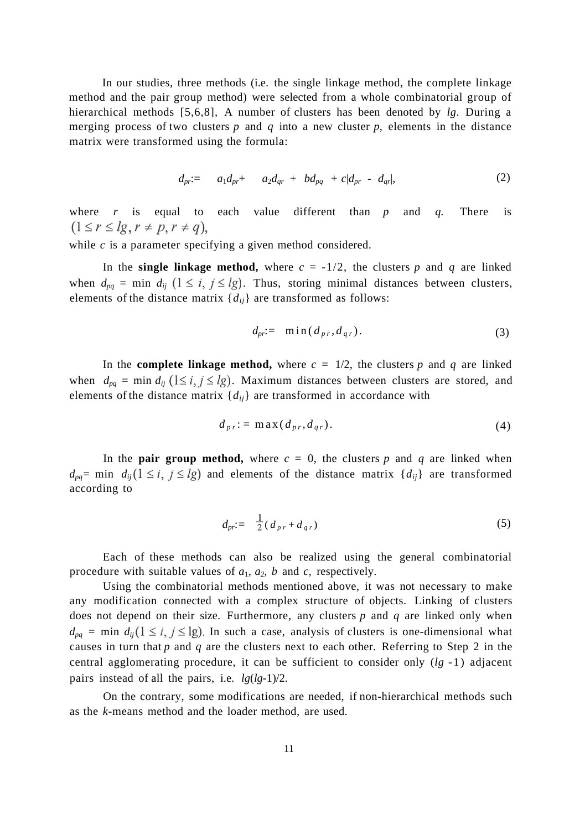In our studies, three methods (i.e. the single linkage method, the complete linkage method and the pair group method) were selected from a whole combinatorial group of hierarchical methods [5,6,8], A number of clusters has been denoted by *lg*. During a merging process of two clusters *p* and *q* into a new cluster *p,* elements in the distance matrix were transformed using the formula:

$$
d_{pr} = a_1 d_{pr} + a_2 d_{qr} + b d_{pq} + c |d_{pr} - d_{qr}|,
$$
 (2)

where *r* is equal to each value different than *p* and *q.* There is  $(1 \leq r \leq lg, r \neq p, r \neq q),$ 

while *c* is a parameter specifying a given method considered.

In the **single linkage method,** where  $c = -1/2$ , the clusters p and q are linked when  $d_{pq}$  = min  $d_{ij}$  ( $1 \le i, j \le lg$ ). Thus, storing minimal distances between clusters, elements of the distance matrix  ${d_{ii}}$  are transformed as follows:

$$
d_{pr} = \min(d_{pr}, d_{qr}). \tag{3}
$$

In the **complete linkage method,** where  $c = \frac{1}{2}$ , the clusters p and q are linked when  $d_{pq}$  = min  $d_{ij}$  (1 ≤ *i*, *j* ≤ *lg*). Maximum distances between clusters are stored, and elements of the distance matrix  ${d_{ii}}$  are transformed in accordance with

$$
d_{pr} := \max(d_{pr}, d_{qr}). \tag{4}
$$

In the **pair group method,** where  $c = 0$ , the clusters p and q are linked when  $d_{pq}$ = min  $d_{ij}$  ( $1 \le i, j \le lg$ ) and elements of the distance matrix  $\{d_{ij}\}\$ are transformed according to

$$
d_{pr} = \frac{1}{2} \left( d_{pr} + d_{qr} \right) \tag{5}
$$

Each of these methods can also be realized using the general combinatorial procedure with suitable values of  $a_1$ ,  $a_2$ ,  $b$  and  $c$ , respectively.

Using the combinatorial methods mentioned above, it was not necessary to make any modification connected with a complex structure of objects. Linking of clusters does not depend on their size. Furthermore, any clusters *p* and *q* are linked only when  $d_{pq}$  = min  $d_{ij}$  ( $1 \le i, j \le \lg$ ). In such a case, analysis of clusters is one-dimensional what causes in turn that *p* and *q* are the clusters next to each other. Referring to Step 2 in the central agglomerating procedure, it can be sufficient to consider only  $(lg -1)$  adjacent pairs instead of all the pairs, i.e. *lg*(*lg-*1)/2.

On the contrary, some modifications are needed, if non-hierarchical methods such as the *k*-means method and the loader method, are used.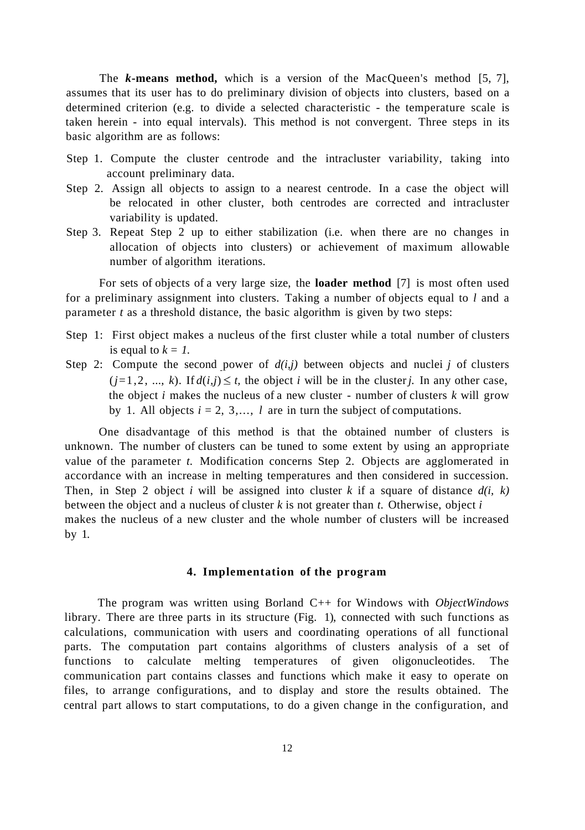The *k***-means method,** which is a version of the MacQueen's method [5, 7], assumes that its user has to do preliminary division of objects into clusters, based on a determined criterion (e.g. to divide a selected characteristic - the temperature scale is taken herein - into equal intervals). This method is not convergent. Three steps in its basic algorithm are as follows:

- Step 1. Compute the cluster centrode and the intracluster variability, taking into account preliminary data.
- Step 2. Assign all objects to assign to a nearest centrode. In a case the object will be relocated in other cluster, both centrodes are corrected and intracluster variability is updated.
- Step 3. Repeat Step 2 up to either stabilization (i.e. when there are no changes in allocation of objects into clusters) or achievement of maximum allowable number of algorithm iterations.

For sets of objects of a very large size, the **loader method** [7] is most often used for a preliminary assignment into clusters. Taking a number of objects equal to *l* and a parameter *t* as a threshold distance, the basic algorithm is given by two steps:

- Step 1: First object makes a nucleus of the first cluster while a total number of clusters is equal to  $k = 1$ .
- Step 2: Compute the second power of  $d(i,j)$  between objects and nuclei j of clusters  $(j=1,2, ..., k)$ . If  $d(i,j) \leq t$ , the object *i* will be in the cluster*j*. In any other case, the object *i* makes the nucleus of a new cluster - number of clusters *k* will grow by 1. All objects  $i = 2, 3, \ldots, l$  are in turn the subject of computations.

One disadvantage of this method is that the obtained number of clusters is unknown. The number of clusters can be tuned to some extent by using an appropriate value of the parameter *t.* Modification concerns Step 2. Objects are agglomerated in accordance with an increase in melting temperatures and then considered in succession. Then, in Step 2 object *i* will be assigned into cluster *k* if a square of distance  $d(i, k)$ between the object and a nucleus of cluster *k* is not greater than *t.* Otherwise, object *i*  makes the nucleus of a new cluster and the whole number of clusters will be increased by 1.

### **4. Implementation of the program**

The program was written using Borland C++ for Windows with *ObjectWindows*  library. There are three parts in its structure (Fig. 1), connected with such functions as calculations, communication with users and coordinating operations of all functional parts. The computation part contains algorithms of clusters analysis of a set of functions to calculate melting temperatures of given oligonucleotides. The communication part contains classes and functions which make it easy to operate on files, to arrange configurations, and to display and store the results obtained. The central part allows to start computations, to do a given change in the configuration, and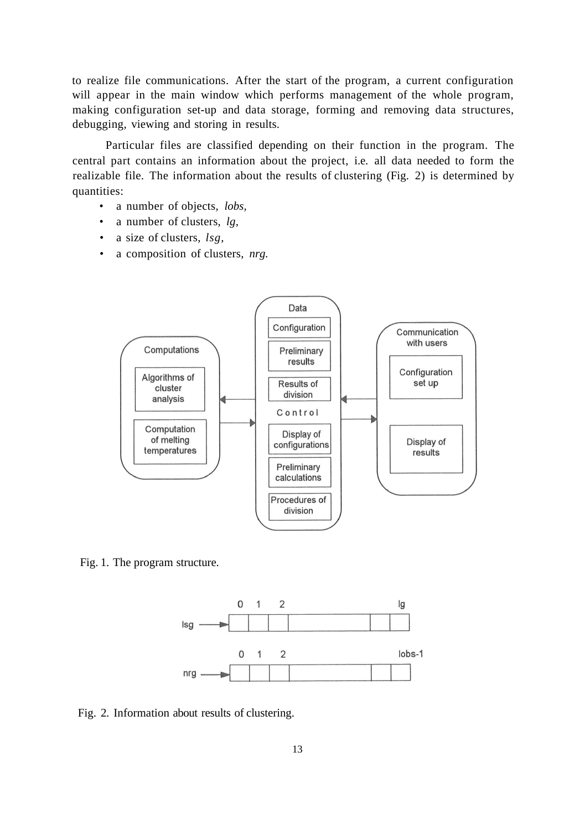to realize file communications. After the start of the program, a current configuration will appear in the main window which performs management of the whole program, making configuration set-up and data storage, forming and removing data structures, debugging, viewing and storing in results.

Particular files are classified depending on their function in the program. The central part contains an information about the project, i.e. all data needed to form the realizable file. The information about the results of clustering (Fig. 2) is determined by quantities:

- a number of objects, *lobs,*
- a number of clusters, *lg,*
- a size of clusters, *lsg,*
- a composition of clusters, *nrg.*



Fig. 1. The program structure.



Fig. 2. Information about results of clustering.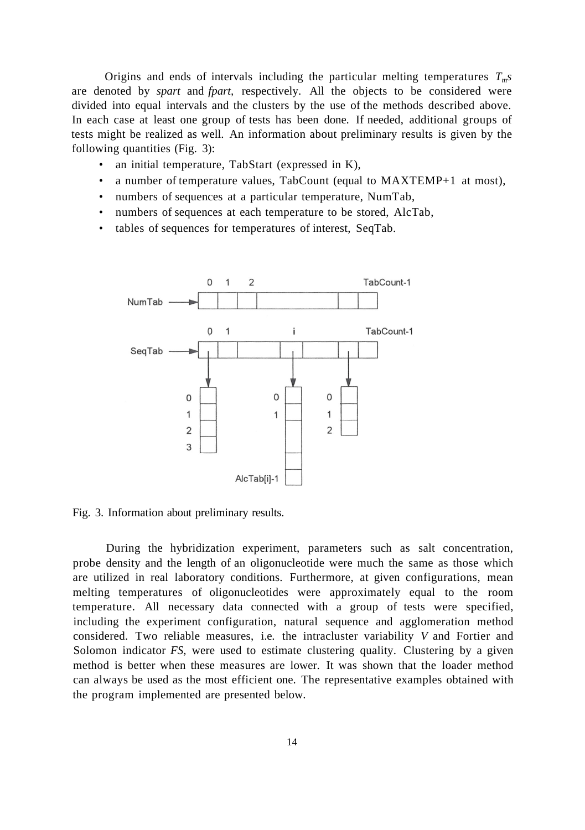Origins and ends of intervals including the particular melting temperatures *Tms*  are denoted by *spart* and *fpart,* respectively. All the objects to be considered were divided into equal intervals and the clusters by the use of the methods described above. In each case at least one group of tests has been done. If needed, additional groups of tests might be realized as well. An information about preliminary results is given by the following quantities (Fig. 3):

- an initial temperature, TabStart (expressed in K),
- a number of temperature values, TabCount (equal to MAXTEMP+1 at most),
- numbers of sequences at a particular temperature, NumTab,
- numbers of sequences at each temperature to be stored, AlcTab,
- tables of sequences for temperatures of interest, SeqTab.



Fig. 3. Information about preliminary results.

During the hybridization experiment, parameters such as salt concentration, probe density and the length of an oligonucleotide were much the same as those which are utilized in real laboratory conditions. Furthermore, at given configurations, mean melting temperatures of oligonucleotides were approximately equal to the room temperature. All necessary data connected with a group of tests were specified, including the experiment configuration, natural sequence and agglomeration method considered. Two reliable measures, i.e. the intracluster variability *V* and Fortier and Solomon indicator *FS,* were used to estimate clustering quality. Clustering by a given method is better when these measures are lower. It was shown that the loader method can always be used as the most efficient one. The representative examples obtained with the program implemented are presented below.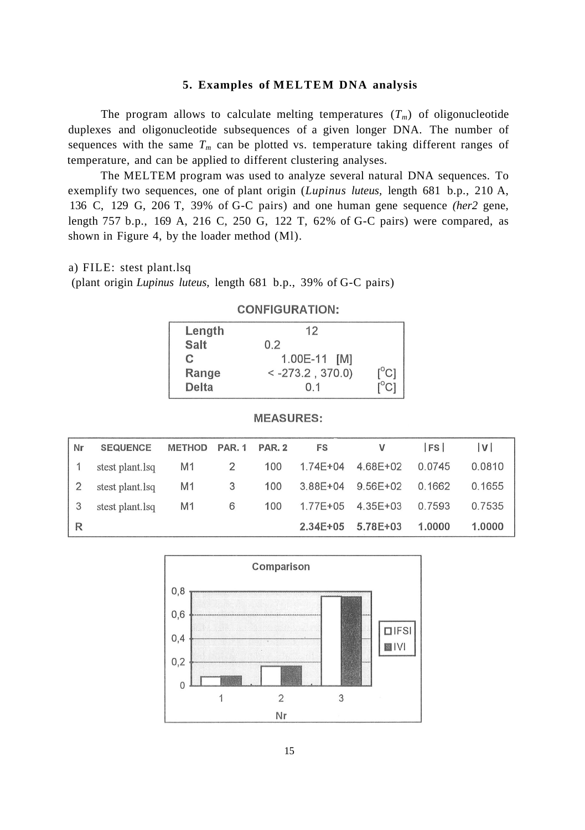### **5. Examples of MELTEM DNA analysis**

The program allows to calculate melting temperatures  $(T_m)$  of oligonucleotide duplexes and oligonucleotide subsequences of a given longer DNA. The number of sequences with the same  $T_m$  can be plotted vs. temperature taking different ranges of temperature, and can be applied to different clustering analyses.

The MELTEM program was used to analyze several natural DNA sequences. To exemplify two sequences, one of plant origin (*Lupinus luteus,* length 681 b.p., 210 A, 136 C, 129 G, 206 T, 39% of G-C pairs) and one human gene sequence *(her2* gene, length 757 b.p., 169 A, 216 C, 250 G, 122 T, 62% of G-C pairs) were compared, as shown in Figure 4, by the loader method (Ml).

### a) FILE: stest plant.lsq

(plant origin *Lupinus luteus,* length 681 b.p., 39% of G-C pairs)

| Length      | 12                 |                                         |
|-------------|--------------------|-----------------------------------------|
| <b>Salt</b> | 0.2                |                                         |
| C.          | 1.00E-11 [M]       |                                         |
| Range       | $<-273.2$ , 370.0) | $\mathsf{I}^\circ\mathsf{C} \mathsf{I}$ |
| Delta       | 01                 | $C^{\circ}$                             |

### **CONFIGURATION:**

#### **MEASURES:**

| Nr | <b>SEQUENCE</b> | <b>METHOD</b>  | <b>PAR. 1</b> | <b>PAR. 2</b> | FS           |          | <b>FS</b> | V      |
|----|-----------------|----------------|---------------|---------------|--------------|----------|-----------|--------|
|    | stest plant.lsq | M1             | 2             | 100           | $1.74E + 04$ | 4.68E+02 | 0.0745    | 0.0810 |
|    | stest plant.lsq | M1             | 3             | 100           | $3.88E + 04$ | 9.56E+02 | 0.1662    | 0.1655 |
|    | stest plant.lsq | M <sub>1</sub> | 6             | 100           | $1.77E + 05$ | 4.35E+03 | 0.7593    | 0.7535 |
| R  |                 |                |               |               | $2.34E + 05$ | 5.78E+03 | 1.0000    | 1.0000 |

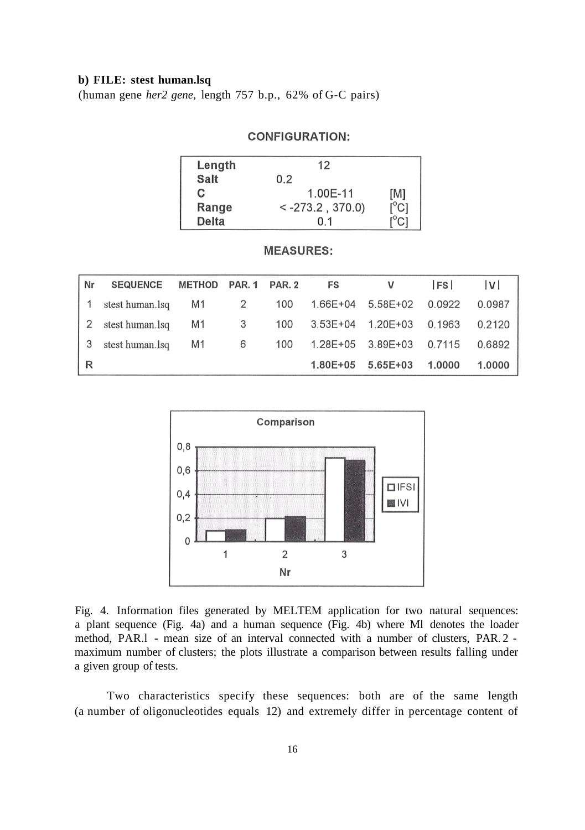### **b) FILE: stest human.lsq**

(human gene *her2 gene,* length 757 b.p., 62% of G-C pairs)

### **CONFIGURATION:**

| Length       | 12                  |                               |
|--------------|---------------------|-------------------------------|
| <b>Salt</b>  | 0.2                 |                               |
| C.           | 1.00E-11            | [M]                           |
| Range        | $< -273.2$ , 370.0) | $\mathsf{I}^{\circ}$ Cl       |
| <b>Delta</b> | 0.1                 | $\mathsf{I}^\circ\mathsf{C}1$ |

### **MEASURES:**

| Nr | <b>SEQUENCE</b> | METHOD | <b>PAR. 1 PAR. 2</b> |     | FS           |                   | <b>IFS</b> | V      |
|----|-----------------|--------|----------------------|-----|--------------|-------------------|------------|--------|
|    | stest human.lsq | M1     | 2                    | 100 |              | 1.66E+04 5.58E+02 | 0.0922     | 0.0987 |
| 2  | stest human.lsq | M1     | 3                    | 100 |              |                   | 0.1963     | 0.2120 |
|    | stest human.lsq | M1     | 6                    | 100 |              | 1.28E+05 3.89E+03 | 0.7115     | 0.6892 |
| R  |                 |        |                      |     | $1.80E + 05$ | $5.65E + 03$      | 1.0000     | 1.0000 |



Fig. 4. Information files generated by MELTEM application for two natural sequences: a plant sequence (Fig. 4a) and a human sequence (Fig. 4b) where Ml denotes the loader method, PAR.l - mean size of an interval connected with a number of clusters, PAR. 2 maximum number of clusters; the plots illustrate a comparison between results falling under a given group of tests.

Two characteristics specify these sequences: both are of the same length (a number of oligonucleotides equals 12) and extremely differ in percentage content of